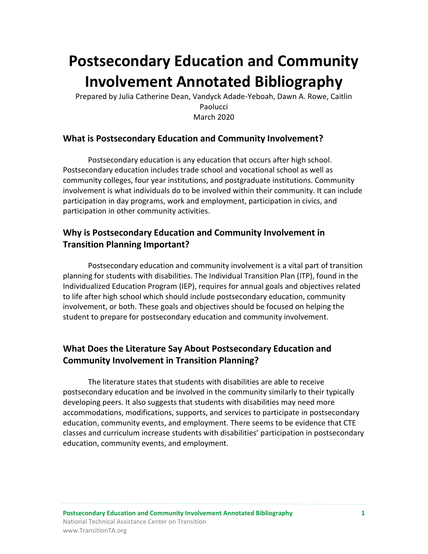# **Postsecondary Education and Community Involvement Annotated Bibliography**

Prepared by Julia Catherine Dean, Vandyck Adade-Yeboah, Dawn A. Rowe, Caitlin Paolucci March 2020

# **What is Postsecondary Education and Community Involvement?**

Postsecondary education is any education that occurs after high school. Postsecondary education includes trade school and vocational school as well as community colleges, four year institutions, and postgraduate institutions. Community involvement is what individuals do to be involved within their community. It can include participation in day programs, work and employment, participation in civics, and participation in other community activities.

# **Why is Postsecondary Education and Community Involvement in Transition Planning Important?**

Postsecondary education and community involvement is a vital part of transition planning for students with disabilities. The Individual Transition Plan (ITP), found in the Individualized Education Program (IEP), requires for annual goals and objectives related to life after high school which should include postsecondary education, community involvement, or both. These goals and objectives should be focused on helping the student to prepare for postsecondary education and community involvement.

# **What Does the Literature Say About Postsecondary Education and Community Involvement in Transition Planning?**

The literature states that students with disabilities are able to receive postsecondary education and be involved in the community similarly to their typically developing peers. It also suggests that students with disabilities may need more accommodations, modifications, supports, and services to participate in postsecondary education, community events, and employment. There seems to be evidence that CTE classes and curriculum increase students with disabilities' participation in postsecondary education, community events, and employment.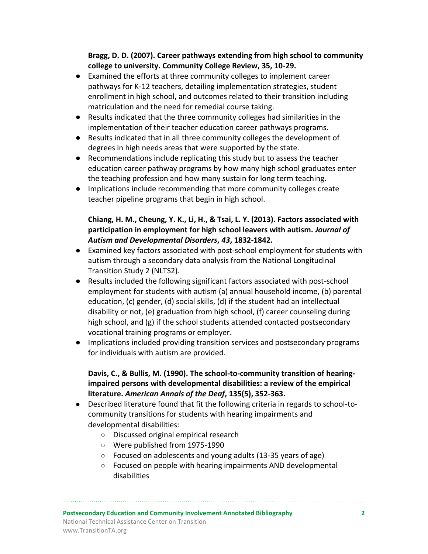### **Bragg, D. D. (2007). Career pathways extending from high school to community college to university. Community College Review, 35, 10-29.**

- Examined the efforts at three community colleges to implement career pathways for K-12 teachers, detailing implementation strategies, student enrollment in high school, and outcomes related to their transition including matriculation and the need for remedial course taking.
- Results indicated that the three community colleges had similarities in the implementation of their teacher education career pathways programs.
- Results indicated that in all three community colleges the development of degrees in high needs areas that were supported by the state.
- Recommendations include replicating this study but to assess the teacher education career pathway programs by how many high school graduates enter the teaching profession and how many sustain for long term teaching.
- Implications include recommending that more community colleges create teacher pipeline programs that begin in high school.

## **Chiang, H. M., Cheung, Y. K., Li, H., & Tsai, L. Y. (2013). Factors associated with participation in employment for high school leavers with autism.** *Journal of Autism and Developmental Disorders***,** *43***, 1832-1842.**

- Examined key factors associated with post-school employment for students with autism through a secondary data analysis from the National Longitudinal Transition Study 2 (NLTS2).
- Results included the following significant factors associated with post-school employment for students with autism (a) annual household income, (b) parental education, (c) gender, (d) social skills, (d) if the student had an intellectual disability or not, (e) graduation from high school, (f) career counseling during high school, and (g) if the school students attended contacted postsecondary vocational training programs or employer.
- Implications included providing transition services and postsecondary programs for individuals with autism are provided.

# **Davis, C., & Bullis, M. (1990). The school-to-community transition of hearingimpaired persons with developmental disabilities: a review of the empirical literature.** *American Annals of the Deaf***, 135(5), 352-363.**

- Described literature found that fit the following criteria in regards to school-tocommunity transitions for students with hearing impairments and developmental disabilities:
	- Discussed original empirical research
	- Were published from 1975-1990
	- Focused on adolescents and young adults (13-35 years of age)
	- Focused on people with hearing impairments AND developmental disabilities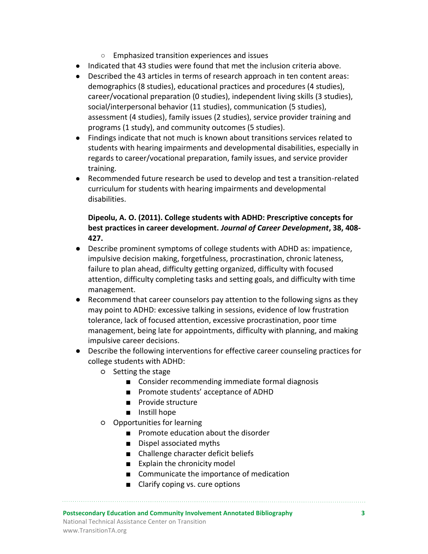- Emphasized transition experiences and issues
- Indicated that 43 studies were found that met the inclusion criteria above.
- Described the 43 articles in terms of research approach in ten content areas: demographics (8 studies), educational practices and procedures (4 studies), career/vocational preparation (0 studies), independent living skills (3 studies), social/interpersonal behavior (11 studies), communication (5 studies), assessment (4 studies), family issues (2 studies), service provider training and programs (1 study), and community outcomes (5 studies).
- Findings indicate that not much is known about transitions services related to students with hearing impairments and developmental disabilities, especially in regards to career/vocational preparation, family issues, and service provider training.
- Recommended future research be used to develop and test a transition-related curriculum for students with hearing impairments and developmental disabilities.

#### **Dipeolu, A. O. (2011). College students with ADHD: Prescriptive concepts for best practices in career development.** *Journal of Career Development***, 38, 408- 427.**

- Describe prominent symptoms of college students with ADHD as: impatience, impulsive decision making, forgetfulness, procrastination, chronic lateness, failure to plan ahead, difficulty getting organized, difficulty with focused attention, difficulty completing tasks and setting goals, and difficulty with time management.
- Recommend that career counselors pay attention to the following signs as they may point to ADHD: excessive talking in sessions, evidence of low frustration tolerance, lack of focused attention, excessive procrastination, poor time management, being late for appointments, difficulty with planning, and making impulsive career decisions.
- Describe the following interventions for effective career counseling practices for college students with ADHD:
	- Setting the stage
		- Consider recommending immediate formal diagnosis
		- Promote students' acceptance of ADHD
		- Provide structure
		- Instill hope
	- Opportunities for learning
		- Promote education about the disorder
		- Dispel associated myths
		- Challenge character deficit beliefs
		- Explain the chronicity model
		- Communicate the importance of medication
		- Clarify coping vs. cure options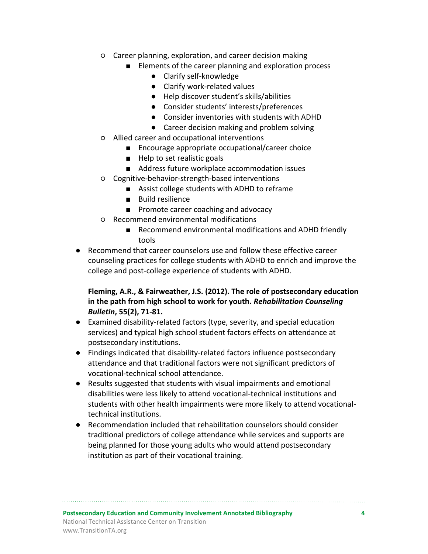- Career planning, exploration, and career decision making
	- Elements of the career planning and exploration process
		- Clarify self-knowledge
		- Clarify work-related values
		- Help discover student's skills/abilities
		- Consider students' interests/preferences
		- Consider inventories with students with ADHD
		- Career decision making and problem solving
- Allied career and occupational interventions
	- Encourage appropriate occupational/career choice
	- Help to set realistic goals
	- Address future workplace accommodation issues
- Cognitive-behavior-strength-based interventions
	- Assist college students with ADHD to reframe
	- Build resilience
	- Promote career coaching and advocacy
- Recommend environmental modifications
	- Recommend environmental modifications and ADHD friendly tools
- Recommend that career counselors use and follow these effective career counseling practices for college students with ADHD to enrich and improve the college and post-college experience of students with ADHD.

## **Fleming, A.R., & Fairweather, J.S. (2012). The role of postsecondary education in the path from high school to work for youth.** *Rehabilitation Counseling Bulletin***, 55(2), 71-81.**

- Examined disability-related factors (type, severity, and special education services) and typical high school student factors effects on attendance at postsecondary institutions.
- Findings indicated that disability-related factors influence postsecondary attendance and that traditional factors were not significant predictors of vocational-technical school attendance.
- Results suggested that students with visual impairments and emotional disabilities were less likely to attend vocational-technical institutions and students with other health impairments were more likely to attend vocationaltechnical institutions.
- Recommendation included that rehabilitation counselors should consider traditional predictors of college attendance while services and supports are being planned for those young adults who would attend postsecondary institution as part of their vocational training.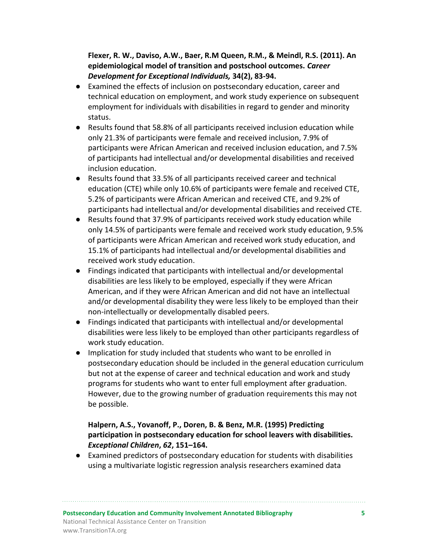**Flexer, R. W., Daviso, A.W., Baer, R.M Queen, R.M., & Meindl, R.S. (2011). An epidemiological model of transition and postschool outcomes.** *Career Development for Exceptional Individuals,* **34(2), 83-94.**

- Examined the effects of inclusion on postsecondary education, career and technical education on employment, and work study experience on subsequent employment for individuals with disabilities in regard to gender and minority status.
- Results found that 58.8% of all participants received inclusion education while only 21.3% of participants were female and received inclusion, 7.9% of participants were African American and received inclusion education, and 7.5% of participants had intellectual and/or developmental disabilities and received inclusion education.
- Results found that 33.5% of all participants received career and technical education (CTE) while only 10.6% of participants were female and received CTE, 5.2% of participants were African American and received CTE, and 9.2% of participants had intellectual and/or developmental disabilities and received CTE.
- Results found that 37.9% of participants received work study education while only 14.5% of participants were female and received work study education, 9.5% of participants were African American and received work study education, and 15.1% of participants had intellectual and/or developmental disabilities and received work study education.
- Findings indicated that participants with intellectual and/or developmental disabilities are less likely to be employed, especially if they were African American, and if they were African American and did not have an intellectual and/or developmental disability they were less likely to be employed than their non-intellectually or developmentally disabled peers.
- Findings indicated that participants with intellectual and/or developmental disabilities were less likely to be employed than other participants regardless of work study education.
- Implication for study included that students who want to be enrolled in postsecondary education should be included in the general education curriculum but not at the expense of career and technical education and work and study programs for students who want to enter full employment after graduation. However, due to the growing number of graduation requirements this may not be possible.

# **Halpern, A.S., Yovanoff, P., Doren, B. & Benz, M.R. (1995) Predicting participation in postsecondary education for school leavers with disabilities***. Exceptional Children***,** *62***, 151–164.**

● Examined predictors of postsecondary education for students with disabilities using a multivariate logistic regression analysis researchers examined data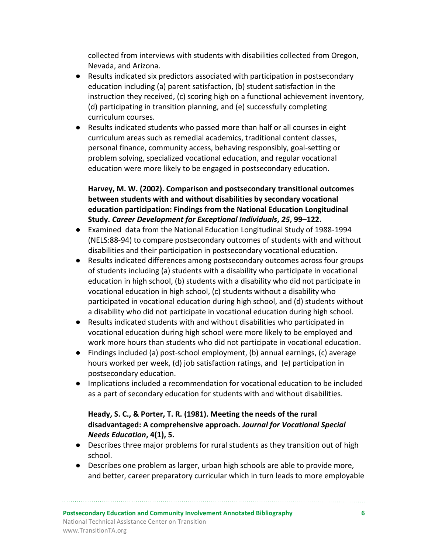collected from interviews with students with disabilities collected from Oregon, Nevada, and Arizona.

- Results indicated six predictors associated with participation in postsecondary education including (a) parent satisfaction, (b) student satisfaction in the instruction they received, (c) scoring high on a functional achievement inventory, (d) participating in transition planning, and (e) successfully completing curriculum courses.
- Results indicated students who passed more than half or all courses in eight curriculum areas such as remedial academics, traditional content classes, personal finance, community access, behaving responsibly, goal-setting or problem solving, specialized vocational education, and regular vocational education were more likely to be engaged in postsecondary education.

# **Harvey, M. W. (2002). Comparison and postsecondary transitional outcomes between students with and without disabilities by secondary vocational education participation: Findings from the National Education Longitudinal Study.** *Career Development for Exceptional Individuals***,** *25***, 99–122.**

- Examined data from the National Education Longitudinal Study of 1988-1994 (NELS:88-94) to compare postsecondary outcomes of students with and without disabilities and their participation in postsecondary vocational education.
- Results indicated differences among postsecondary outcomes across four groups of students including (a) students with a disability who participate in vocational education in high school, (b) students with a disability who did not participate in vocational education in high school, (c) students without a disability who participated in vocational education during high school, and (d) students without a disability who did not participate in vocational education during high school.
- Results indicated students with and without disabilities who participated in vocational education during high school were more likely to be employed and work more hours than students who did not participate in vocational education.
- Findings included (a) post-school employment, (b) annual earnings, (c) average hours worked per week, (d) job satisfaction ratings, and (e) participation in postsecondary education.
- Implications included a recommendation for vocational education to be included as a part of secondary education for students with and without disabilities.

# **Heady, S. C., & Porter, T. R. (1981). Meeting the needs of the rural disadvantaged: A comprehensive approach.** *Journal for Vocational Special Needs Education***, 4(1), 5.**

- Describes three major problems for rural students as they transition out of high school.
- Describes one problem as larger, urban high schools are able to provide more, and better, career preparatory curricular which in turn leads to more employable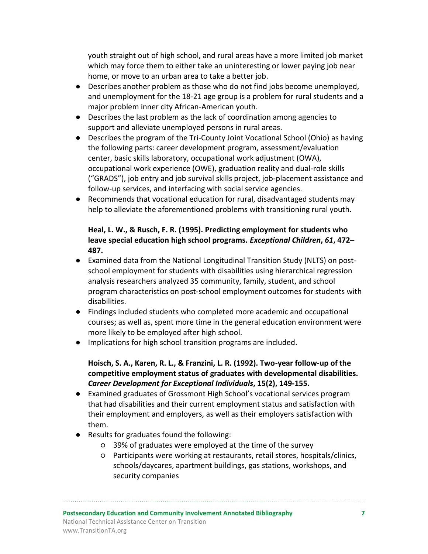youth straight out of high school, and rural areas have a more limited job market which may force them to either take an uninteresting or lower paying job near home, or move to an urban area to take a better job.

- Describes another problem as those who do not find jobs become unemployed, and unemployment for the 18-21 age group is a problem for rural students and a major problem inner city African-American youth.
- Describes the last problem as the lack of coordination among agencies to support and alleviate unemployed persons in rural areas.
- Describes the program of the Tri-County Joint Vocational School (Ohio) as having the following parts: career development program, assessment/evaluation center, basic skills laboratory, occupational work adjustment (OWA), occupational work experience (OWE), graduation reality and dual-role skills ("GRADS"), job entry and job survival skills project, job-placement assistance and follow-up services, and interfacing with social service agencies.
- Recommends that vocational education for rural, disadvantaged students may help to alleviate the aforementioned problems with transitioning rural youth.

**Heal, L. W., & Rusch, F. R. (1995). Predicting employment for students who leave special education high school programs.** *Exceptional Children***,** *61***, 472– 487.** 

- Examined data from the National Longitudinal Transition Study (NLTS) on postschool employment for students with disabilities using hierarchical regression analysis researchers analyzed 35 community, family, student, and school program characteristics on post-school employment outcomes for students with disabilities.
- Findings included students who completed more academic and occupational courses; as well as, spent more time in the general education environment were more likely to be employed after high school.
- Implications for high school transition programs are included.

**Hoisch, S. A., Karen, R. L., & Franzini, L. R. (1992). Two-year follow-up of the competitive employment status of graduates with developmental disabilities.**  *Career Development for Exceptional Individuals***, 15(2), 149-155.**

- Examined graduates of Grossmont High School's vocational services program that had disabilities and their current employment status and satisfaction with their employment and employers, as well as their employers satisfaction with them.
- Results for graduates found the following:
	- 39% of graduates were employed at the time of the survey
	- Participants were working at restaurants, retail stores, hospitals/clinics, schools/daycares, apartment buildings, gas stations, workshops, and security companies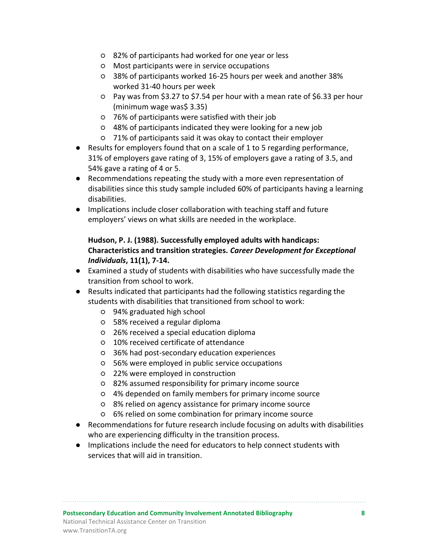- 82% of participants had worked for one year or less
- Most participants were in service occupations
- 38% of participants worked 16-25 hours per week and another 38% worked 31-40 hours per week
- Pay was from \$3.27 to \$7.54 per hour with a mean rate of \$6.33 per hour (minimum wage was\$ 3.35)
- 76% of participants were satisfied with their job
- 48% of participants indicated they were looking for a new job
- 71% of participants said it was okay to contact their employer
- Results for employers found that on a scale of 1 to 5 regarding performance, 31% of employers gave rating of 3, 15% of employers gave a rating of 3.5, and 54% gave a rating of 4 or 5.
- Recommendations repeating the study with a more even representation of disabilities since this study sample included 60% of participants having a learning disabilities.
- Implications include closer collaboration with teaching staff and future employers' views on what skills are needed in the workplace.

# **Hudson, P. J. (1988). Successfully employed adults with handicaps: Characteristics and transition strategies.** *Career Development for Exceptional Individuals***, 11(1), 7-14.**

- Examined a study of students with disabilities who have successfully made the transition from school to work.
- Results indicated that participants had the following statistics regarding the students with disabilities that transitioned from school to work:
	- 94% graduated high school
	- 58% received a regular diploma
	- 26% received a special education diploma
	- 10% received certificate of attendance
	- 36% had post-secondary education experiences
	- 56% were employed in public service occupations
	- 22% were employed in construction
	- 82% assumed responsibility for primary income source
	- 4% depended on family members for primary income source
	- 8% relied on agency assistance for primary income source
	- 6% relied on some combination for primary income source
- Recommendations for future research include focusing on adults with disabilities who are experiencing difficulty in the transition process.
- Implications include the need for educators to help connect students with services that will aid in transition.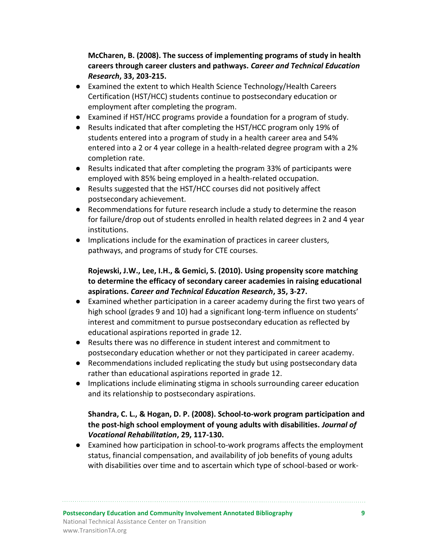**McCharen, B. (2008). The success of implementing programs of study in health careers through career clusters and pathways.** *Career and Technical Education Research***, 33, 203-215.**

- Examined the extent to which Health Science Technology/Health Careers Certification (HST/HCC) students continue to postsecondary education or employment after completing the program.
- Examined if HST/HCC programs provide a foundation for a program of study.
- Results indicated that after completing the HST/HCC program only 19% of students entered into a program of study in a health career area and 54% entered into a 2 or 4 year college in a health-related degree program with a 2% completion rate.
- Results indicated that after completing the program 33% of participants were employed with 85% being employed in a health-related occupation.
- Results suggested that the HST/HCC courses did not positively affect postsecondary achievement.
- Recommendations for future research include a study to determine the reason for failure/drop out of students enrolled in health related degrees in 2 and 4 year institutions.
- Implications include for the examination of practices in career clusters, pathways, and programs of study for CTE courses.

**Rojewski, J.W., Lee, I.H., & Gemici, S. (2010). Using propensity score matching to determine the efficacy of secondary career academies in raising educational aspirations.** *Career and Technical Education Research***, 35, 3-27.**

- Examined whether participation in a career academy during the first two years of high school (grades 9 and 10) had a significant long-term influence on students' interest and commitment to pursue postsecondary education as reflected by educational aspirations reported in grade 12.
- Results there was no difference in student interest and commitment to postsecondary education whether or not they participated in career academy.
- Recommendations included replicating the study but using postsecondary data rather than educational aspirations reported in grade 12.
- Implications include eliminating stigma in schools surrounding career education and its relationship to postsecondary aspirations.

## **Shandra, C. L., & Hogan, D. P. (2008). School-to-work program participation and the post-high school employment of young adults with disabilities.** *Journal of Vocational Rehabilitation***, 29, 117-130.**

● Examined how participation in school-to-work programs affects the employment status, financial compensation, and availability of job benefits of young adults with disabilities over time and to ascertain which type of school-based or work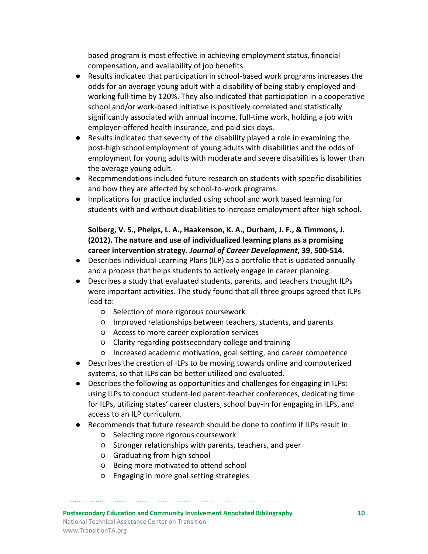based program is most effective in achieving employment status, financial compensation, and availability of job benefits.

- Results indicated that participation in school-based work programs increases the odds for an average young adult with a disability of being stably employed and working full-time by 120%. They also indicated that participation in a cooperative school and/or work-based initiative is positively correlated and statistically significantly associated with annual income, full-time work, holding a job with employer-offered health insurance, and paid sick days.
- Results indicated that severity of the disability played a role in examining the post-high school employment of young adults with disabilities and the odds of employment for young adults with moderate and severe disabilities is lower than the average young adult.
- Recommendations included future research on students with specific disabilities and how they are affected by school-to-work programs.
- Implications for practice included using school and work based learning for students with and without disabilities to increase employment after high school.

#### **Solberg, V. S., Phelps, L. A., Haakenson, K. A., Durham, J. F., & Timmons, J. (2012). The nature and use of individualized learning plans as a promising career intervention strategy.** *Journal of Career Development***, 39, 500-514.**

- Describes Individual Learning Plans (ILP) as a portfolio that is updated annually and a process that helps students to actively engage in career planning.
- Describes a study that evaluated students, parents, and teachers thought ILPs were important activities. The study found that all three groups agreed that ILPs lead to:
	- Selection of more rigorous coursework
	- Improved relationships between teachers, students, and parents
	- Access to more career exploration services
	- Clarity regarding postsecondary college and training
	- Increased academic motivation, goal setting, and career competence
- Describes the creation of ILPs to be moving towards online and computerized systems, so that ILPs can be better utilized and evaluated.
- Describes the following as opportunities and challenges for engaging in ILPs: using ILPs to conduct student-led parent-teacher conferences, dedicating time for ILPs, utilizing states' career clusters, school buy-in for engaging in ILPs, and access to an ILP curriculum.
- Recommends that future research should be done to confirm if ILPs result in:
	- Selecting more rigorous coursework
	- Stronger relationships with parents, teachers, and peer
	- Graduating from high school
	- Being more motivated to attend school
	- Engaging in more goal setting strategies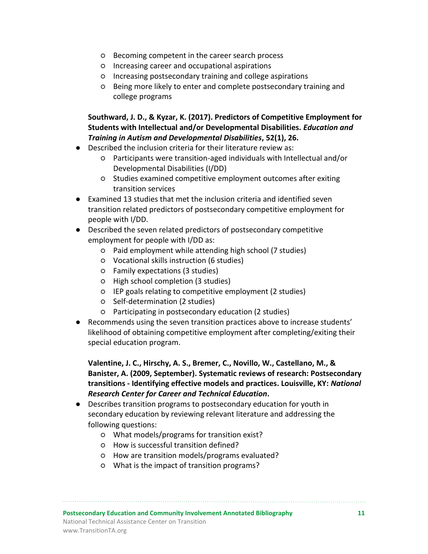- Becoming competent in the career search process
- Increasing career and occupational aspirations
- Increasing postsecondary training and college aspirations
- Being more likely to enter and complete postsecondary training and college programs

## **Southward, J. D., & Kyzar, K. (2017). Predictors of Competitive Employment for Students with Intellectual and/or Developmental Disabilities.** *Education and Training in Autism and Developmental Disabilities***, 52(1), 26.**

- Described the inclusion criteria for their literature review as:
	- Participants were transition-aged individuals with Intellectual and/or Developmental Disabilities (I/DD)
	- Studies examined competitive employment outcomes after exiting transition services
- Examined 13 studies that met the inclusion criteria and identified seven transition related predictors of postsecondary competitive employment for people with I/DD.
- Described the seven related predictors of postsecondary competitive employment for people with I/DD as:
	- Paid employment while attending high school (7 studies)
	- Vocational skills instruction (6 studies)
	- Family expectations (3 studies)
	- High school completion (3 studies)
	- IEP goals relating to competitive employment (2 studies)
	- Self-determination (2 studies)
	- Participating in postsecondary education (2 studies)
- Recommends using the seven transition practices above to increase students' likelihood of obtaining competitive employment after completing/exiting their special education program.

**Valentine, J. C., Hirschy, A. S., Bremer, C., Novillo, W., Castellano, M., & Banister, A. (2009, September). Systematic reviews of research: Postsecondary transitions - Identifying effective models and practices. Louisville, KY:** *National Research Center for Career and Technical Education***.**

- Describes transition programs to postsecondary education for youth in secondary education by reviewing relevant literature and addressing the following questions:
	- What models/programs for transition exist?
	- How is successful transition defined?
	- How are transition models/programs evaluated?
	- What is the impact of transition programs?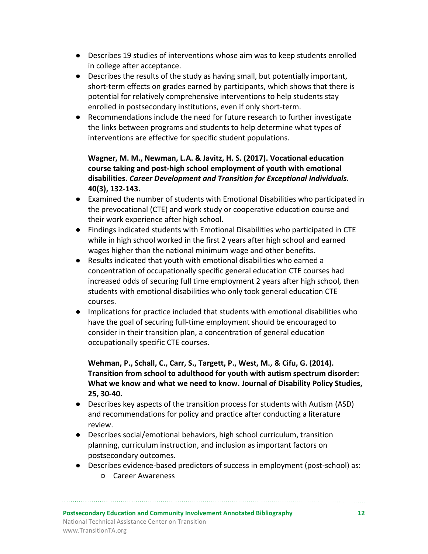- Describes 19 studies of interventions whose aim was to keep students enrolled in college after acceptance.
- Describes the results of the study as having small, but potentially important, short-term effects on grades earned by participants, which shows that there is potential for relatively comprehensive interventions to help students stay enrolled in postsecondary institutions, even if only short-term.
- Recommendations include the need for future research to further investigate the links between programs and students to help determine what types of interventions are effective for specific student populations.

# **Wagner, M. M., Newman, L.A. & Javitz, H. S. (2017). Vocational education course taking and post-high school employment of youth with emotional disabilities.** *Career Development and Transition for Exceptional Individuals.* **40(3), 132-143.**

- Examined the number of students with Emotional Disabilities who participated in the prevocational (CTE) and work study or cooperative education course and their work experience after high school.
- Findings indicated students with Emotional Disabilities who participated in CTE while in high school worked in the first 2 years after high school and earned wages higher than the national minimum wage and other benefits.
- Results indicated that youth with emotional disabilities who earned a concentration of occupationally specific general education CTE courses had increased odds of securing full time employment 2 years after high school, then students with emotional disabilities who only took general education CTE courses.
- Implications for practice included that students with emotional disabilities who have the goal of securing full-time employment should be encouraged to consider in their transition plan, a concentration of general education occupationally specific CTE courses.

**Wehman, P., Schall, C., Carr, S., Targett, P., West, M., & Cifu, G. (2014). Transition from school to adulthood for youth with autism spectrum disorder: What we know and what we need to know. Journal of Disability Policy Studies, 25, 30-40.**

- Describes key aspects of the transition process for students with Autism (ASD) and recommendations for policy and practice after conducting a literature review.
- Describes social/emotional behaviors, high school curriculum, transition planning, curriculum instruction, and inclusion as important factors on postsecondary outcomes.
- Describes evidence-based predictors of success in employment (post-school) as: ○ Career Awareness
- **Postsecondary Education and Community Involvement Annotated Bibliography 12** National Technical Assistance Center on Transition www.TransitionTA.org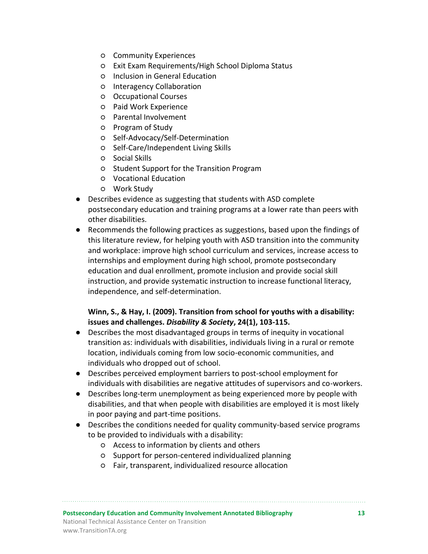- Community Experiences
- Exit Exam Requirements/High School Diploma Status
- Inclusion in General Education
- Interagency Collaboration
- Occupational Courses
- Paid Work Experience
- Parental Involvement
- Program of Study
- Self-Advocacy/Self-Determination
- Self-Care/Independent Living Skills
- Social Skills
- Student Support for the Transition Program
- Vocational Education
- Work Study
- Describes evidence as suggesting that students with ASD complete postsecondary education and training programs at a lower rate than peers with other disabilities.
- Recommends the following practices as suggestions, based upon the findings of this literature review, for helping youth with ASD transition into the community and workplace: improve high school curriculum and services, increase access to internships and employment during high school, promote postsecondary education and dual enrollment, promote inclusion and provide social skill instruction, and provide systematic instruction to increase functional literacy, independence, and self-determination.

#### **Winn, S., & Hay, I. (2009). Transition from school for youths with a disability: issues and challenges.** *Disability & Society***, 24(1), 103-115.**

- Describes the most disadvantaged groups in terms of inequity in vocational transition as: individuals with disabilities, individuals living in a rural or remote location, individuals coming from low socio-economic communities, and individuals who dropped out of school.
- Describes perceived employment barriers to post-school employment for individuals with disabilities are negative attitudes of supervisors and co-workers.
- Describes long-term unemployment as being experienced more by people with disabilities, and that when people with disabilities are employed it is most likely in poor paying and part-time positions.
- Describes the conditions needed for quality community-based service programs to be provided to individuals with a disability:
	- Access to information by clients and others
	- Support for person-centered individualized planning
	- Fair, transparent, individualized resource allocation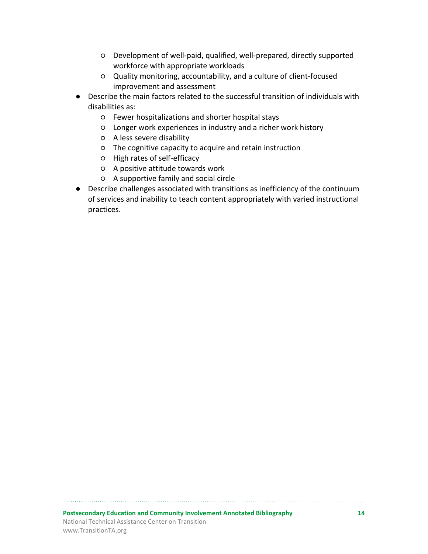- Development of well-paid, qualified, well-prepared, directly supported workforce with appropriate workloads
- Quality monitoring, accountability, and a culture of client-focused improvement and assessment
- Describe the main factors related to the successful transition of individuals with disabilities as:
	- Fewer hospitalizations and shorter hospital stays
	- Longer work experiences in industry and a richer work history
	- A less severe disability
	- The cognitive capacity to acquire and retain instruction
	- High rates of self-efficacy
	- A positive attitude towards work
	- A supportive family and social circle
- Describe challenges associated with transitions as inefficiency of the continuum of services and inability to teach content appropriately with varied instructional practices.